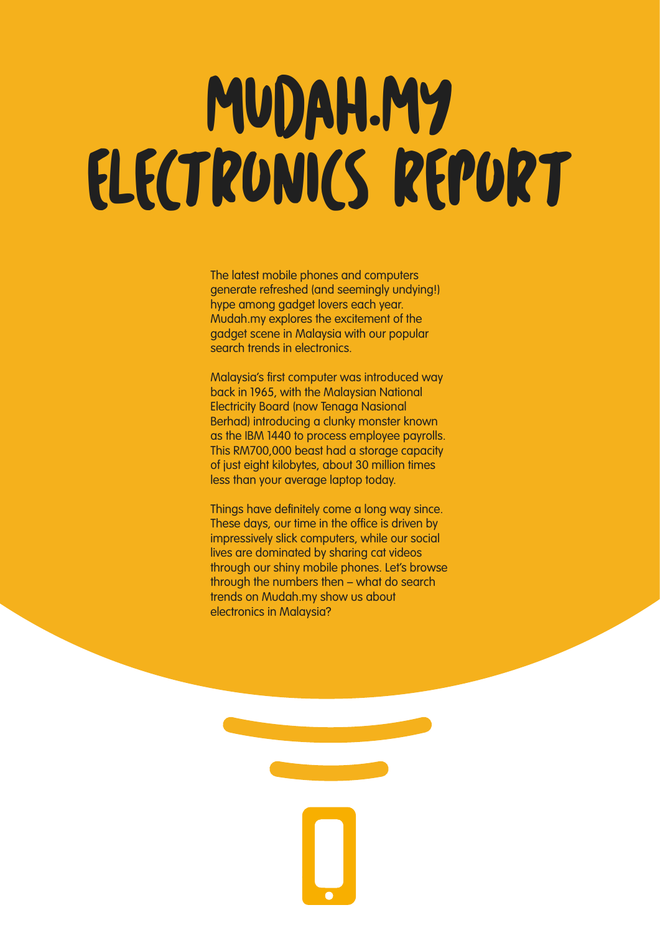# MUDAH.MY ELECTRONICS REPORT

The latest mobile phones and computers generate refreshed (and seemingly undying!) hype among gadget lovers each year. Mudah.my explores the excitement of the gadget scene in Malaysia with our popular search trends in electronics.

Malaysia's first computer was introduced way back in 1965, with the Malaysian National Electricity Board (now Tenaga Nasional Berhad) introducing a clunky monster known as the IBM 1440 to process employee payrolls. This RM700,000 beast had a storage capacity of just eight kilobytes, about 30 million times less than your average laptop today.

Things have definitely come a long way since. These days, our time in the office is driven by impressively slick computers, while our social lives are dominated by sharing cat videos through our shiny mobile phones. Let's browse through the numbers then – what do search trends on Mudah.my show us about electronics in Malaysia?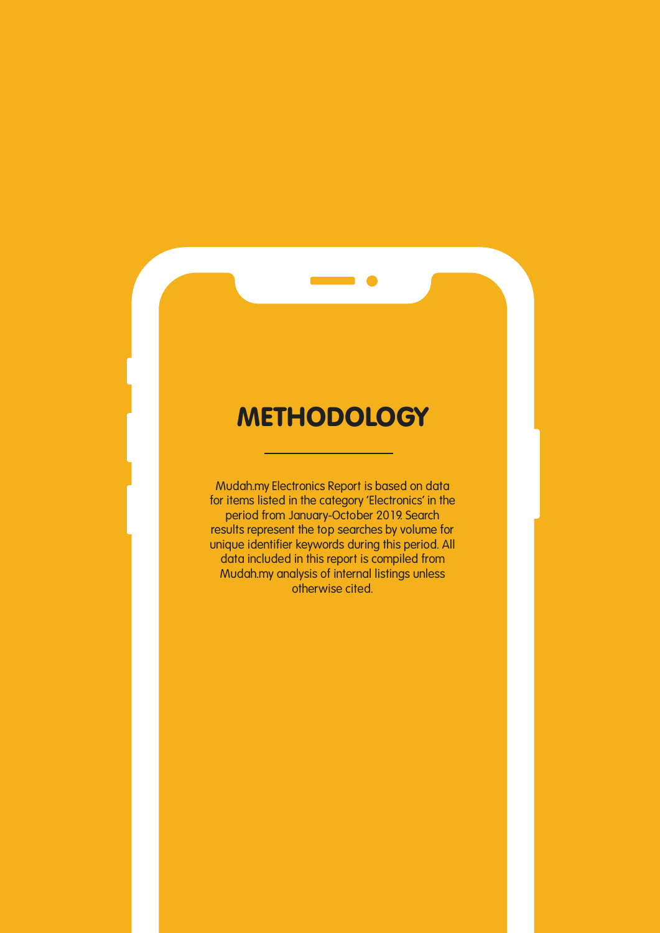#### **METHODOLOGY**

**Mudah.my Electronics Report is based on data for items listed in the category 'Electronics' in the period from January-October 2019. Search results represent the top searches by volume for unique identifier keywords during this period. All data included in this report is compiled from Mudah.my analysis of internal listings unless otherwise cited.**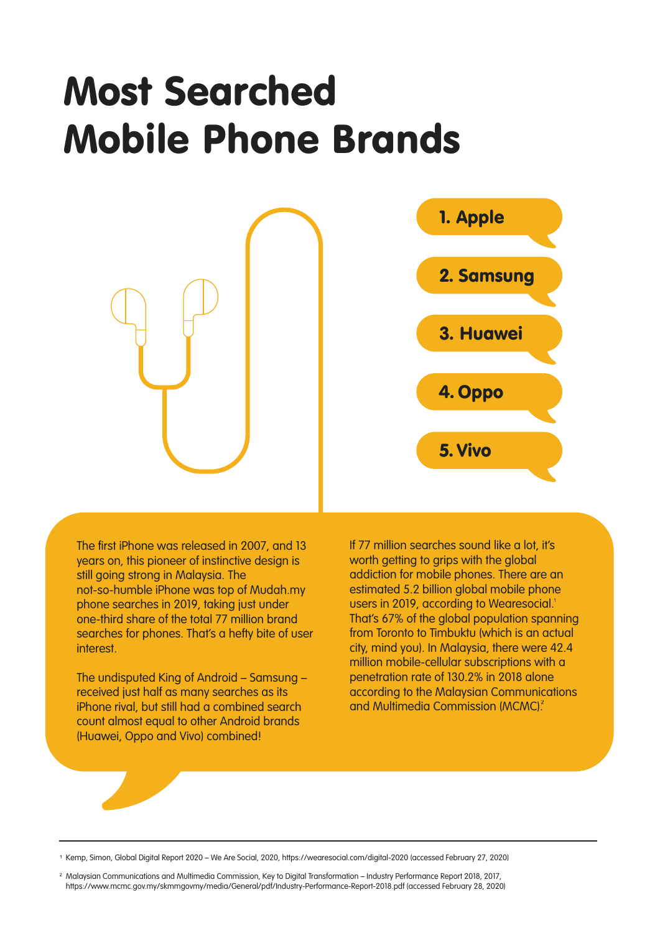#### Most Searched Mobile Phone Brands



The first iPhone was released in 2007, and 13 years on, this pioneer of instinctive design is still going strong in Malaysia. The not-so-humble iPhone was top of Mudah.my phone searches in 2019, taking just under one-third share of the total 77 million brand searches for phones. That's a hefty bite of user interest.

The undisputed King of Android – Samsung – received just half as many searches as its iPhone rival, but still had a combined search count almost equal to other Android brands (Huawei, Oppo and Vivo) combined!

If 77 million searches sound like a lot, it's worth getting to grips with the global addiction for mobile phones. There are an estimated 5.2 billion global mobile phone users in 2019, according to Wearesocial. That's 67% of the global population spanning from Toronto to Timbuktu (which is an actual city, mind you). In Malaysia, there were 42.4 million mobile-cellular subscriptions with a penetration rate of 130.2% in 2018 alone according to the Malaysian Communications and Multimedia Commission (MCMC).

<sup>1</sup> Kemp, Simon, Global Digital Report 2020 – We Are Social, 2020, https://wearesocial.com/digital-2020 (accessed February 27, 2020)

<sup>2</sup> Malaysian Communications and Multimedia Commission, Key to Digital Transformation – Industry Performance Report 2018, 2017, https://www.mcmc.gov.my/skmmgovmy/media/General/pdf/Industry-Performance-Report-2018.pdf (accessed February 28, 2020)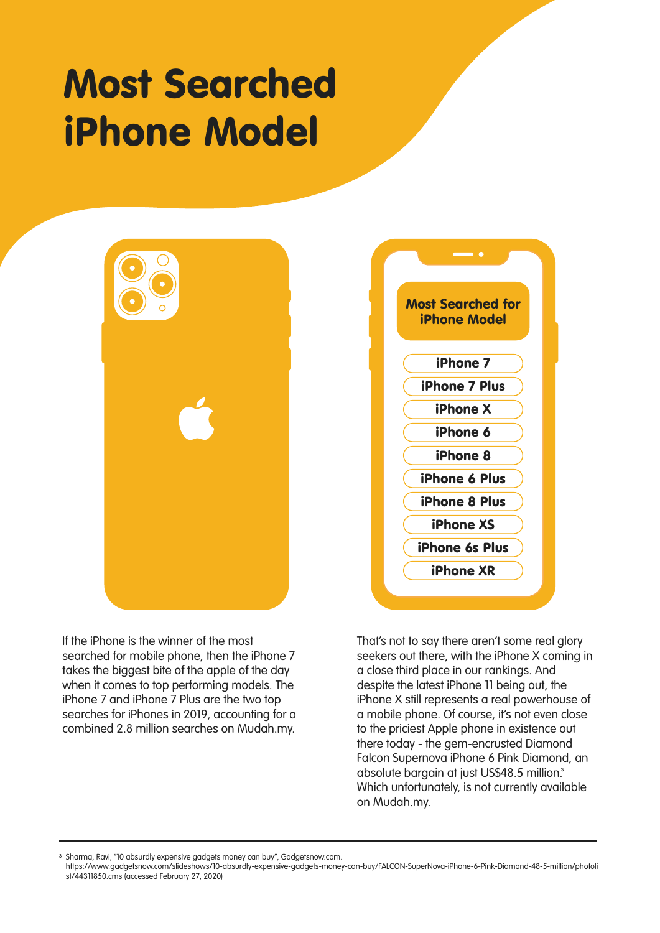#### Most Searched iPhone Model





If the iPhone is the winner of the most searched for mobile phone, then the iPhone 7 takes the biggest bite of the apple of the day when it comes to top performing models. The iPhone 7 and iPhone 7 Plus are the two top searches for iPhones in 2019, accounting for a combined 2.8 million searches on Mudah.my.

That's not to say there aren't some real glory seekers out there, with the iPhone X coming in a close third place in our rankings. And despite the latest iPhone 11 being out, the iPhone X still represents a real powerhouse of a mobile phone. Of course, it's not even close to the priciest Apple phone in existence out there today - the gem-encrusted Diamond Falcon Supernova iPhone 6 Pink Diamond, an absolute bargain at just US\$48.5 million. Which unfortunately, is not currently available on Mudah.my.

<sup>3</sup> Sharma, Ravi, "10 absurdly expensive gadgets money can buy", Gadgetsnow.com.

https://www.gadgetsnow.com/slideshows/10-absurdly-expensive-gadgets-money-can-buy/FALCON-SuperNova-iPhone-6-Pink-Diamond-48-5-million/photoli st/44311850.cms (accessed February 27, 2020)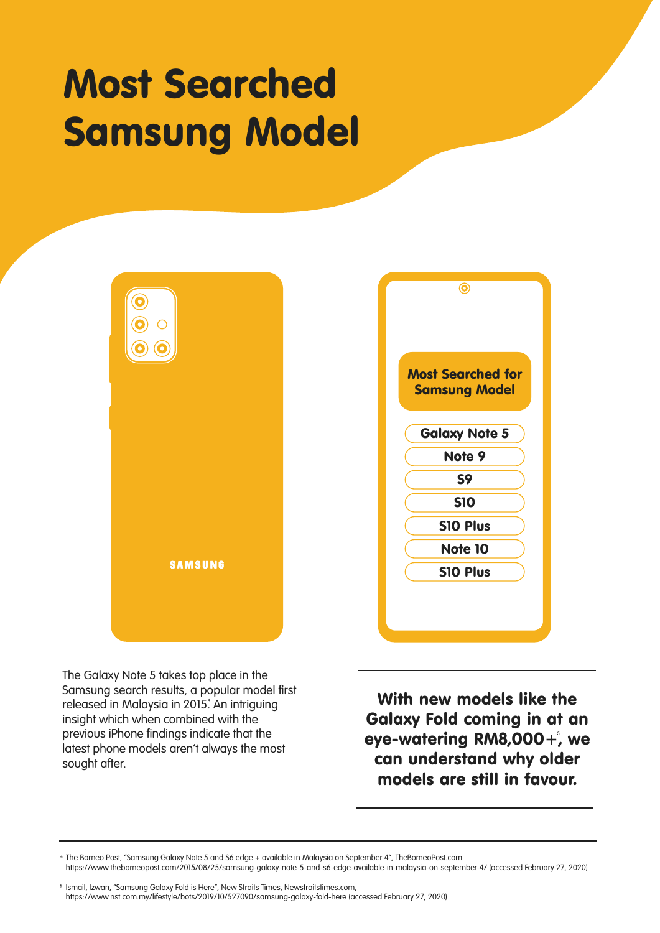#### Most Searched Samsung Model



The Galaxy Note 5 takes top place in the Samsung search results, a popular model first released in Malaysia in 2015. An intriguing insight which when combined with the previous iPhone findings indicate that the latest phone models aren't always the most sought after.

With new models like the Galaxy Fold coming in at an eye-watering RM8,000+, we can understand why older models are still in favour.

The Borneo Post, "Samsung Galaxy Note 5 and S6 edge + available in Malaysia on September 4", TheBorneoPost.com. https://www.theborneopost.com/2015/08/25/samsung-galaxy-note-5-and-s6-edge-available-in-malaysia-on-september-4/ (accessed February 27, 2020)

<sup>5</sup> Ismail, Izwan, "Samsung Galaxy Fold is Here", New Straits Times, Newstraitstimes.com, https://www.nst.com.my/lifestyle/bots/2019/10/527090/samsung-galaxy-fold-here (accessed February 27, 2020)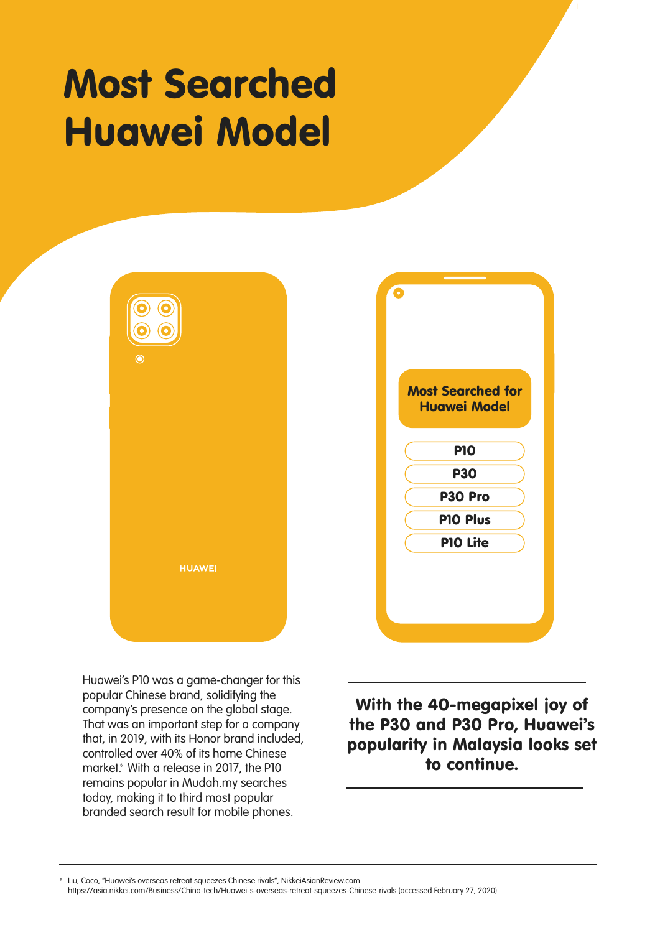#### Most Searched Huawei Model





Huawei's P10 was a game-changer for this popular Chinese brand, solidifying the company's presence on the global stage. That was an important step for a company that, in 2019, with its Honor brand included, controlled over 40% of its home Chinese market. With a release in 2017, the P10 remains popular in Mudah.my searches today, making it to third most popular branded search result for mobile phones.

With the 40-megapixel joy of the P30 and P30 Pro, Huawei's popularity in Malaysia looks set to continue.

Liu, Coco, "Huawei's overseas retreat squeezes Chinese rivals", NikkeiAsianReview.com. https://asia.nikkei.com/Business/China-tech/Huawei-s-overseas-retreat-squeezes-Chinese-rivals (accessed February 27, 2020)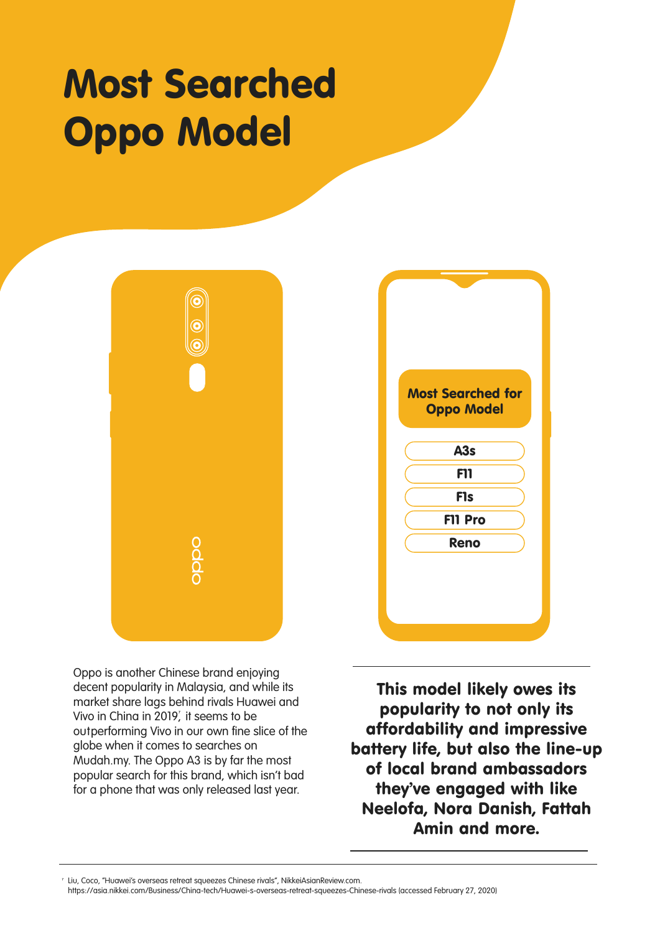# Most Searched Oppo Model





Oppo is another Chinese brand enjoying decent popularity in Malaysia, and while its market share lags behind rivals Huawei and Vivo in China in 2019, it seems to be outperforming Vivo in our own fine slice of the globe when it comes to searches on Mudah.my. The Oppo A3 is by far the most popular search for this brand, which isn't bad for a phone that was only released last year.

This model likely owes its popularity to not only its affordability and impressive battery life, but also the line-up of local brand ambassadors they've engaged with like Neelofa, Nora Danish, Fattah Amin and more.

Liu, Coco, "Huawei's overseas retreat squeezes Chinese rivals", NikkeiAsianReview.com.

https://asia.nikkei.com/Business/China-tech/Huawei-s-overseas-retreat-squeezes-Chinese-rivals (accessed February 27, 2020)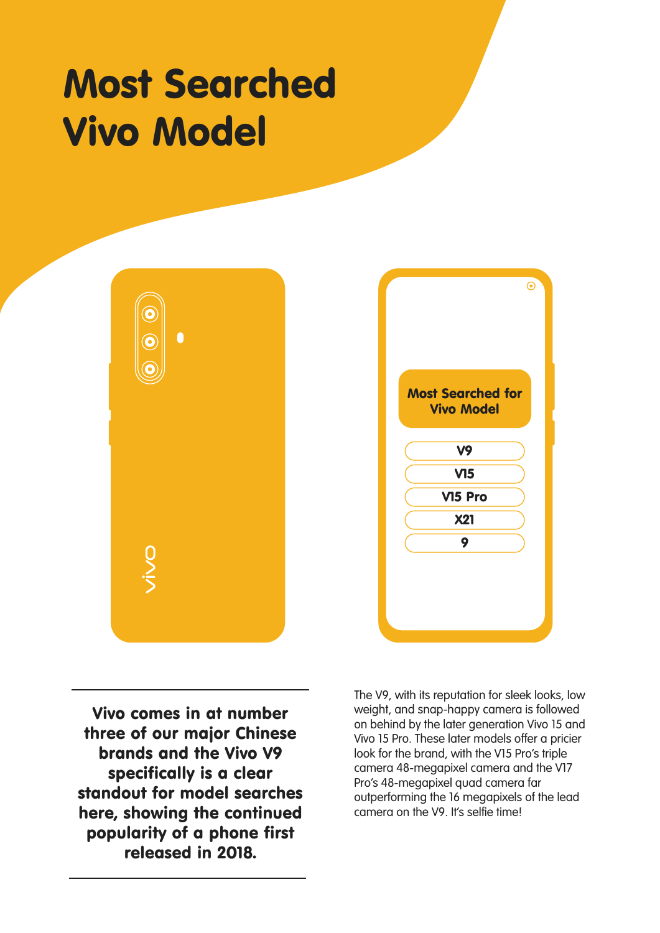#### Most Searched Vivo Model





Vivo comes in at number three of our major Chinese brands and the Vivo V9 specifically is a clear standout for model searches here, showing the continued popularity of a phone first released in 2018.

The V9, with its reputation for sleek looks, low weight, and snap-happy camera is followed on behind by the later generation Vivo 15 and Vivo 15 Pro. These later models offer a pricier look for the brand, with the V15 Pro's triple camera 48-megapixel camera and the V17 Pro's 48-megapixel quad camera far outperforming the 16 megapixels of the lead camera on the V9. It's selfie time!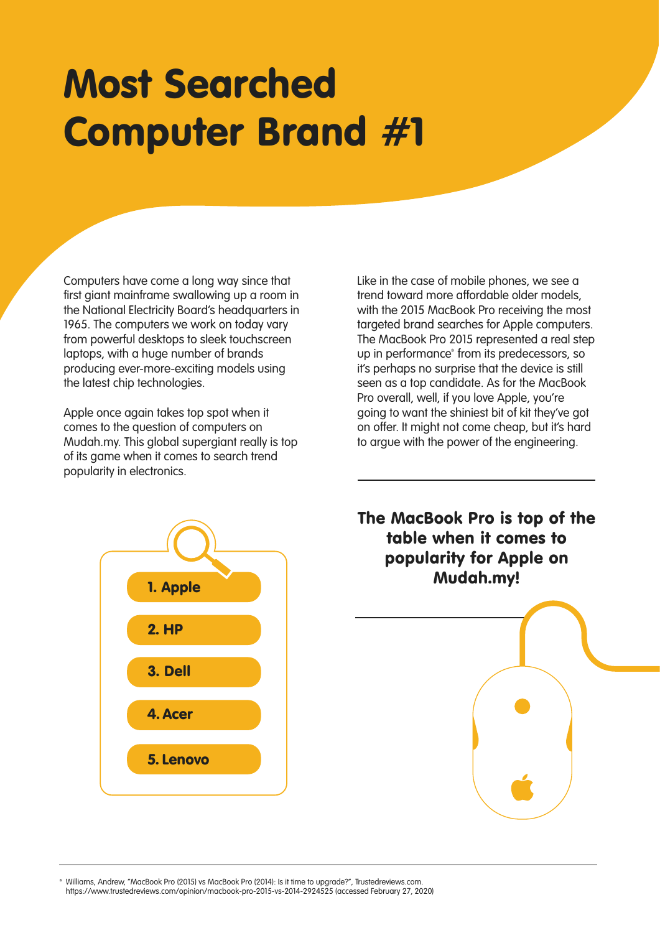#### Most Searched Computer Brand #1

Computers have come a long way since that first giant mainframe swallowing up a room in the National Electricity Board's headquarters in 1965. The computers we work on today vary from powerful desktops to sleek touchscreen laptops, with a huge number of brands producing ever-more-exciting models using the latest chip technologies.

Apple once again takes top spot when it comes to the question of computers on Mudah.my. This global supergiant really is top of its game when it comes to search trend popularity in electronics.

Like in the case of mobile phones, we see a trend toward more affordable older models, with the 2015 MacBook Pro receiving the most targeted brand searches for Apple computers. The MacBook Pro 2015 represented a real step up in performance<sup>®</sup> from its predecessors, so it's perhaps no surprise that the device is still seen as a top candidate. As for the MacBook Pro overall, well, if you love Apple, you're going to want the shiniest bit of kit they've got on offer. It might not come cheap, but it's hard to argue with the power of the engineering.



The MacBook Pro is top of the table when it comes to popularity for Apple on Mudah.my!



Williams, Andrew, "MacBook Pro (2015) vs MacBook Pro (2014): Is it time to upgrade?", Trustedreviews.com. https://www.trustedreviews.com/opinion/macbook-pro-2015-vs-2014-2924525 (accessed February 27, 2020)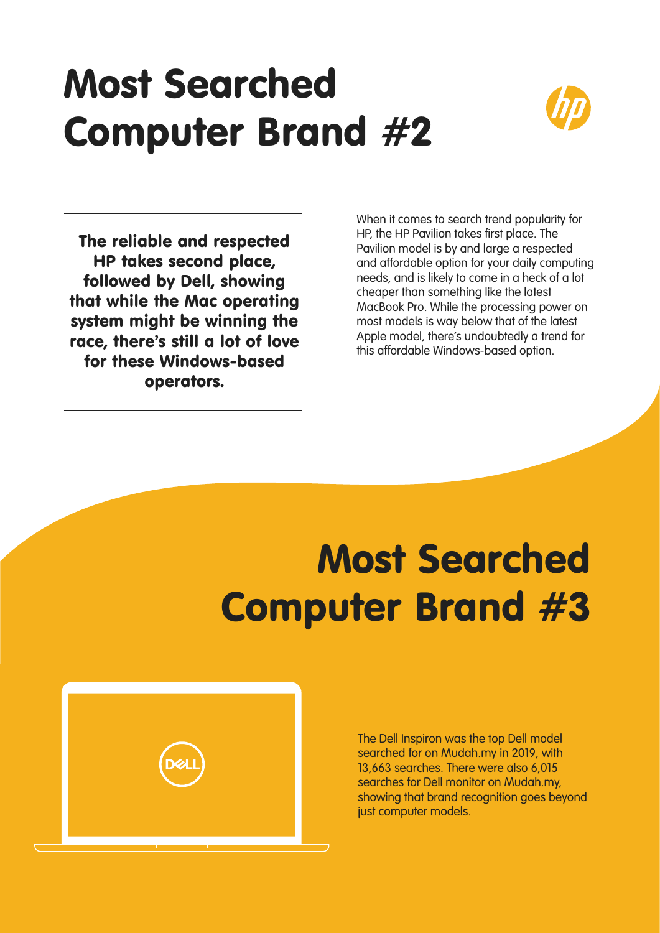# Most Searched Computer Brand #2



The reliable and respected HP takes second place, followed by Dell, showing that while the Mac operating system might be winning the race, there's still a lot of love for these Windows-based operators.

When it comes to search trend popularity for HP, the HP Pavilion takes first place. The Pavilion model is by and large a respected and affordable option for your daily computing needs, and is likely to come in a heck of a lot cheaper than something like the latest MacBook Pro. While the processing power on most models is way below that of the latest Apple model, there's undoubtedly a trend for this affordable Windows-based option.

# Most Searched Computer Brand #3



The Dell Inspiron was the top Dell model searched for on Mudah.my in 2019, with 13,663 searches. There were also 6,015 searches for Dell monitor on Mudah.my, showing that brand recognition goes beyond just computer models.